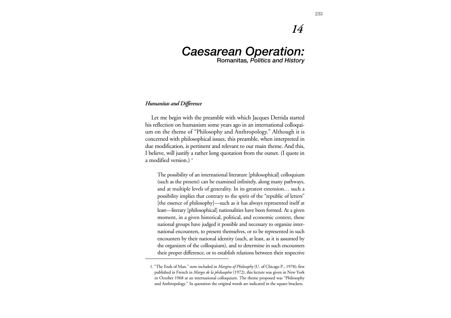# *14*

## *Caesarean Operation:* **Romanitas***, Politics and History*

#### *Humanitas and Difference*

Let me begin with the preamble with which Jacques Derrida started his reflection on humanism some years ago in an international colloquium on the theme of "Philosophy and Anthropology." Although it is concerned with philosophical issues, this preamble, when interpreted in due modification, is pertinent and relevant to our main theme. And this, I believe, will justify a rather long quotation from the outset. (I quote in a modified version.) **<sup>1</sup>**

The possibility of an international literature [philosophical] colloquium (such as the present) can be examined infinitely, along many pathways, and at multiple levels of generality. In its greatest extension… such a possibility implies that contrary to the spirit of the "republic of letters" [the essence of philosophy]—such as it has always represented itself at least—literary [philosophical] nationalities have been formed. At a given moment, in a given historical, political, and economic context, these national groups have judged it possible and necessary to organize international encounters, to present themselves, or to be represented in such encounters by their national identity (such, at least, as it is assumed by the organizers of the colloquium), and to determine in such encounters their proper difference, or to establish relations between their respective

<sup>1. &</sup>quot;The Ends of Man," now included in *Margins of Philosophy* (U. of Chicago P., 1978); first published in French in *Marges de la philosophie* (1972), this lecture was given in New York in October 1968 at an international colloquium. The theme proposed was "Philosophy and Anthropology." In quotation the original words are indicated in the square brackets.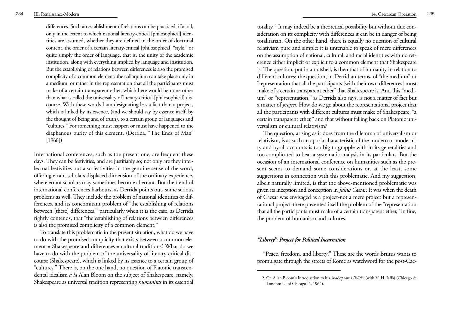differences. Such an establishment of relations can be practiced, if at all, only in the extent to which national literary-critical [philosophical] identities are assumed, whether they are defined in the order of doctrinal content, the order of a certain literary-critical [philosophical] "style," or quite simply the order of language, that is, the unity of the academic institution, along with everything implied by language and institution. But the establishing of relations between differences is also the promised complicity of a common element: the colloquium can take place only in a medium, or rather in the representation that all the participants must make of a certain transparent ether, which here would be none other than what is called the universality of literary-critical [philosophical] discourse. With these words I am designating less a fact than a project, which is linked by its essence, (and we should say by essence itself, by the thought of Being and of truth), to a certain group of languages and "cultures." For something must happen or must have happened to the diaphanous purity of this element. (Derrida, "The Ends of Man" [1968])

International conferences, such as the present one, are frequent these days. They can be festivities, and are justifiably so; not only are they intellectual festivities but also festivities in the genuine sense of the word, offering errant scholars displaced dimension of the ordinary experience, where errant scholars may sometimes become aberrant. But the trend of international conferences harbours, as Derrida points out, some serious problems as well. They include the problem of national identities or differences, and its concomitant problem of "the establishing of relations between [these] differences," particularly when it is the case, as Derrida rightly contends, that "the establishing of relations between differences is also the promised complicity of a common element."

To translate this problematic in the present situation, what do we have to do with the promised complicity that exists between a common element = Shakespeare and differences = cultural traditions? What do we have to do with the problem of the universality of literary-critical discourse (Shakespeare), which is linked by its essence to a certain group of "cultures." There is, on the one hand, no question of Platonic transcendental idealism *à la* Alan Bloom on the subject of Shakespeare, namely, Shakespeare as universal tradition representing *humanitas* in its essential

totality. **<sup>2</sup>** It may indeed be a theoretical possibility but without due consideration on its complicity with differences it can be in danger of being totalitarian. On the other hand, there is equally no question of cultural relativism pure and simple: it is untenable to speak of mere differences on the assumption of national, cultural, and racial identities with no reference either implicit or explicit to a common element that Shakespeare is. The question, put in a nutshell, is then that of humanity in relation to different cultures: the question, in Derridian terms, of "the medium" or "representation that all the participants [with their own differences] must make of a certain transparent ether" that Shakespeare is. And this "medium" or "representation," as Derrida also says, is not a matter of fact but a matter of *project*. How do we go about the representational project that all the participants with different cultures must make of Shakespeare, "a certain transparent ether," and that without falling back on Platonic universalism or cultural relativism?

The question, arising as it does from the dilemma of universalism or relativism, is as such an aporia characteristic of the modern or modernity and by all accounts is too big to grapple with in its generalities and too complicated to bear a systematic analysis in its particulars. But the occasion of an international conference on humanities such as the present seems to demand some considerations or, at the least, some suggestions in connection with this problematic. And my suggestion, albeit naturally limited, is that the above-mentioned problematic was given its inception and conception in *Julius Caesar*. It was when the death of Caesar was envisaged as a project-not a mere project but a representational project-there presented itself the problem of the "representation that all the participants must make of a certain transparent ether," in fine, the problem of humanism and cultures.

#### *"Liberty": Project for Political Incarnation*

"Peace, freedom, and liberty!" These are the words Brutus wants to promulgate through the streets of Rome as watchword for the post-Cae-

<sup>2.</sup> Cf. Allan Bloom's Introduction to his *Shakespeare's Politics* (with V. H. Jaffa) (Chicago & London: U. of Chicago P., 1964).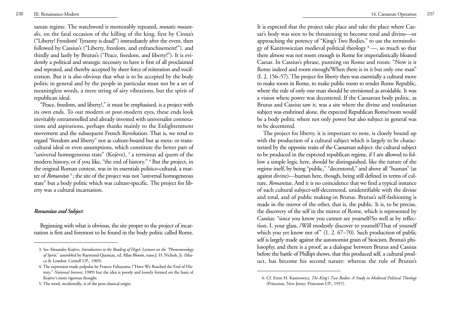sarean regime. The watchword is memorably repeated, *mutatis mutandis*, on the fatal occasion of the killing of the king, first by Cinna's ("Liberty! Freedom! Tyranny is dead!") immediately after the event, then followed by Cassius's ("Liberty, freedom, and enfranchisement!"), and thirdly and lastly by Brutus's ("Peace, freedom, and liberty!"). It is evidently a political and strategic necessity to have it first of all proclaimed and repeated, and thereby accepted by sheer force of reiteration and vociferation. But it is also obvious that what is to be accepted by the body politic in general and by the people in particular must not be a set of meaningless words, a mere string of airy vibrations, but the spirit of republican ideal.

"Peace, freedom, and liberty!," it must be emphasized, is a project with its own ends. To our modern or post-modern eyes, these ends look inevitably entrammelled and already invested with universalist connotations and aspirations, perhaps thanks mainly to the Enlightenment movement and the subsequent French Revolution. That is, we tend to regard "freedom and liberty" not as culture-bound but as meta- or transcultural ideal or even assumptions, which constitute the better part of "universal homogeneous state" (Kojève), **<sup>3</sup>** a terminus ad quem of the modern history, or if you like, "the end of history." **<sup>4</sup>** But the project, in the original Roman context, was in its essentials politico-cultural, a matter of *Romanitas* **<sup>5</sup>**; the site of the project was not "universal homogeneous state" but a body politic which was culture-specific. The project for liberty was a cultural incarnation.

#### *Romanitas and Subject*

Beginning with what is obvious, the site proper to the project of incarnation is first and foremost to be found in the body politic called Rome. It is expected that the project take place and take the place where Caesar's body was seen to be threatening to become total and divine—or approaching the potency of "King's Two Bodies," to use the terminology of Kantrowiczian medieval political theology **<sup>6</sup>** —, so much so that there almost was not room enough in Rome for imperialistically bloated Caesar. In Cassius's phrase, punning on Rome and room: "Now is it Rome indeed and room enough/When there is in it but only one man" (I. 2. 156–57). The project for liberty then was essentially a cultural move to make room in Rome, to make public room to render Rome Republic, where the rule of only one man should be envisioned as avoidable. It was a vision where power was decentered. If the Caesarean body politic, as Brutus and Cassius saw it, was a site where the divine and totalitarian subject was enshrined alone, the expected Republican Rome/room would be a body politic where not only power but also subject in general was to be decentered.

The project for liberty, it is important to note, is closely bound up with the production of a cultural subject which is largely to be characterized by the opposite traits of the Caesarean subject: the cultural subject to be produced in the expected republican regime, if I am allowed to follow a simple logic here, should be distinguished, like the nature of the regime itself, by being "public," "decentered," and above all "human" (as against divine)—human here, though, being still defined in terms of culture, *Romanitas*. And it is no coincidence that we find a typical instance of such cultural subject-self-decentered, unidentifiable with the divine and total, and of public making-in Brutus. Brutus's self-fashioning is made in the mirror of the other, that is, the public. It is, to be precise, the discovery of the self in the mirror of Rome, which is represented by Cassius: "since you know you cannot see yourself/So well as by reflection, I, your glass, /Will modestly discover to yourself/That of yourself which you yet know not of"  $(1, 2, 67-70)$ . Such production of public self is largely made against the autonomist grain of Stoicism, Brutus's philosophy, and there is a proof, as a dialogue between Brutus and Cassius before the battle of Phillipi shows, that this produced self, a cultural product, has become his second nature: whereas the rule of Brutus's

<sup>3.</sup> See Alexandre Kojève, *Introduction to the Reading of Hegel: Lectures on the "Phenomenology of Spirit*," assembled by Raymond Queneau, ed. Allan Bloom, trans.J. H. Nichols, Jr. (Ithaca & London: Cornell UP., 1969).

<sup>4.</sup> The expression made polpular by Francis Fukuyama ("Have We Reached the End of History," *National Interest*, 1989) but the idea is poorly and loosely formed on the basis of Kojève's more rigorous thought.

<sup>5.</sup> The word, incidentally, is of the post-classical origin.

<sup>6.</sup> Cf. Ernst H. Kantrowicz, *The King's Two Bodies: A Study in Medieval Political Theology* (Princeton, New Jersey: Princeton UP., 1957).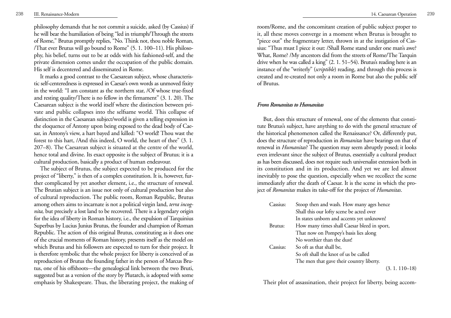philosophy demands that he not commit a suicide, asked (by Cassius) if he will bear the humiliation of being "led in triumph/Through the streets of Rome," Brutus promptly replies, "No. Think not, thou noble Roman, /That ever Brutus will go bound to Rome" (5. 1. 100–11). His philoso phy, his belief, turns out to be at odds with his fashioned-self, and the private dimension comes under the occupation of the public domain. His self is decentered and disseminated in Rome.

It marks a good contrast to the Caesarean subject, whose characteristic self-centeredness is expressed in Caesar's own words as unmoved fixity in the world: "I am constant as the northern star, /Of whose true-fixed and resting quality/There is no fellow in the firmament" (3. 1. 20). The Caesarean subject is the world itself where the distinction between private and public collapses into the selfsame world. This collapse of distinction in the Caesarean subject/world is given a telling expression in the eloquence of Antony upon being exposed to the dead body of Caesar, in Antony's view, a hart bayed and killed: "O world! Thou wast the forest to this hart, /And this indeed, O world, the heart of thee" (3. 1. 207–8). The Caesarean subject is situated at the centre of the world, hence total and divine. Its exact opposite is the subject of Brutus; it is a cultural production, basically a product of human endeavour.

The subject of Brutus, the subject expected to be produced for the project of "liberty," is then of a complex constitution. It is, however, further complicated by yet another element, i.e., the structure of renewal. The Brutian subject is an issue not only of cultural production but also of cultural reproduction. The public room, Roman Republic, Brutus among others aims to incarnate is not a political virgin land, *terra incognita,* but precisely a lost land to be recovered. There is a legendary origin for the idea of liberty in Roman history, i.e., the expulsion of Tarquinius Superbus by Lucius Junius Brutus, the founder and champion of Roman Republic. The action of this original Brutus, constituting as it does one of the crucial moments of Roman history, presents itself as the model on which Brutus and his followers are expected to turn for their project. It is therefore symbolic that the whole project for liberty is conceived of as reproduction of Brutus the founding father in the person of Marcus Brutus, one of his offshoots—the genealogical link between the two Bruti, suggested but as a version of the story by Plutarch, is adopted with some emphasis by Shakespeare. Thus, the liberating project, the making of

<sup>238</sup> III. Renaissance-Modern 14. Caesarean Operation <sup>239</sup>

room/Rome, and the concomitant creation of public subject proper to it, all these moves converge in a moment when Brutus is brought to "piece out" the fragmentary letter, thrown in at the instigation of Cassius: "Thus must I piece it out: /Shall Rome stand under one man's awe? What, Rome? /My ancestors did from the streets of Rome/The Tarquin drive when he was called a king" (2. 1. 51–54). Brutus's reading here is an instance of the "writerly" (*scriptible*) reading, and through this process is created and re-created not only a room in Rome but also the public self of Brutus.

#### *From Romanitas to Humanitas*

But, does this structure of renewal, one of the elements that constitute Brutus's subject, have anything to do with the general structure of the historical phenomenon called the Renaissance? Or, differently put, does the structure of reproduction in *Romanitas* have bearings on that of renewal in *Humanitas*? The question may seem abruptly posed; it looks even irrelevant since the subject of Brutus, essentially a cultural product as has been discussed, does not require such universalist extension both in its constitution and in its production. And yet we are led almost inevitably to pose the question, especially when we recollect the scene immediately after the death of Caesar. It is the scene in which the project of *Romanitas* makes its take-off for the project of *Humanitas*.

| Cassius: | Stoop then and wash. How many ages hence    |
|----------|---------------------------------------------|
|          | Shall this our lofty scene be acted over    |
|          | In states unborn and accents yet unknown!   |
| Brutus:  | How many times shall Caesar bleed in sport, |
|          | That now on Pompey's basis lies along       |
|          | No worthier than the dust!                  |
| Cassius: | So oft as that shall be,                    |
|          | So oft shall the knot of us be called       |
|          | The men that gave their country liberty.    |
|          | $(3.1.110-18)$                              |

Their plot of assassination, their project for liberty, being accom-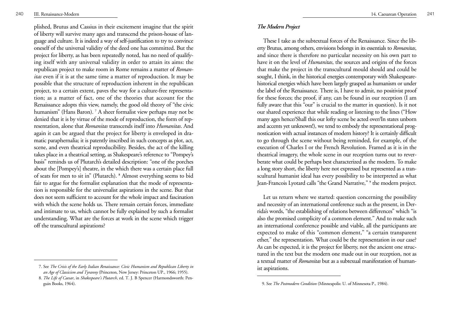<sup>p</sup>lished, Brutus and Cassius in their excitement imagine that the spirit of liberty will survive many ages and transcend the prison-house of language and culture. It is indeed a way of self-justification to try to convince oneself of the universal validity of the deed one has committed. But the project for liberty, as has been repeatedly noted, has no need of qualifying itself with any universal validity in order to attain its aims: the republican project to make room in Rome remains a matter of *Romanitas* even if it is at the same time a matter of reproduction. It may be possible that the structure of reproduction inherent in the republican project, to a certain extent, paves the way for a culture-free representation; as a matter of fact, one of the theories that account for the Renaissance adopts this view, namely, the good old theory of "the civic humanism" (Hans Baron). **<sup>7</sup>** A sheer formalist view perhaps may not be denied that it is by virtue of the mode of reproduction, the form of representation, alone that *Romanitas* transcends itself into *Humanitas*. And again it can be argued that the project for liberty is enveloped in dramatic paraphernalia; it is patently inscribed in such concepts as plot, act, scene, and even theatrical reproducibility. Besides, the act of the killing takes place in a theatrical setting, as Shakespeare's reference to "Pompey's basis" reminds us of Plutarch's detailed description: "one of the porches about the [Pompey's] theatre, in the which there was a certain place full of seats for men to sit in" (Plutarch). **<sup>8</sup>** Almost everything seems to bid fair to argue for the formalist explanation that the mode of representation is responsible for the universalist aspirations in the scene. But that does not seem sufficient to account for the whole impact and fascination with which the scene holds us. There remain certain forces, immediate and intimate to us, which cannot be fully explained by such a formalist understanding. What are the forces at work in the scene which trigger off the transcultural aspirations?

### *The Modern Project*

These I take as the subtextual forces of the Renaissance. Since the liberty Brutus, among others, envisions belongs in its essentials to *Romanitas*, and since there is therefore no particular necessity on his own part to have it on the level of *Humanitas*, the sources and origins of the forces that make the project in the transcultural mould should and could be sought, I think, in the historical energies contemporary with Shakespearehistorical energies which have been largely grasped as humanism or under the label of the Renaissance. There is, I have to admit, no positivist proof for these forces; the proof, if any, can be found in our reception (I am fully aware that this "our" is crucial to the matter in question). Is it not our shared experience that while reading or listening to the lines ("How many ages hence/Shall this our lofty scene be acted over/In states unborn and accents yet unknown!), we tend to embody the representational prognostication with actual instances of modern history? It is certainly difficult to go through the scene without being reminded, for example, of the execution of Charles I or the French Revolution. Framed as it is in the theatrical imagery, the whole scene in our reception turns out to reverberate what could be perhaps best characterized as the modern. To make a long story short, the liberty here not expressed but represented as a transcultural humanist ideal has every possibility to be interpreted as what Jean-Francois Lyotard calls "the Grand Narrative," **<sup>9</sup>** the modern project.

Let us return where we started: question concerning the possibility and necessity of an international conference such as the present, in Derrida's words, "the establishing of relations between differences" which "is also the promised complicity of a common element." And to make such an international conference possible and viable, all the participants are expected to make of this "common element," "a certain transparent ether," the representation. What could be the representation in our case? As can be expected, it is the project for liberty, not the ancient one structured in the text but the modern one made out in our reception, not as a textual matter of *Romanitas* but as a subtexual manifestation of humanist aspirations.

<sup>7.</sup> See *The Crisis of the Early Italian Renaissance: Civic Humanism and Republican Liberty in an Age of Classicism and Tyranny* (Princeton, New Jersey: Princeton UP., 1966; 1955).

<sup>8.</sup> *The Life of Caesar*, in *Shakespeare's Plutarch*, ed. T. J. B Spencer (Harmondsworth: Penguin Books, 1964). 9. See *The Postmodern Condition* (Minneapolis: U. of Minnesota P., 1984).